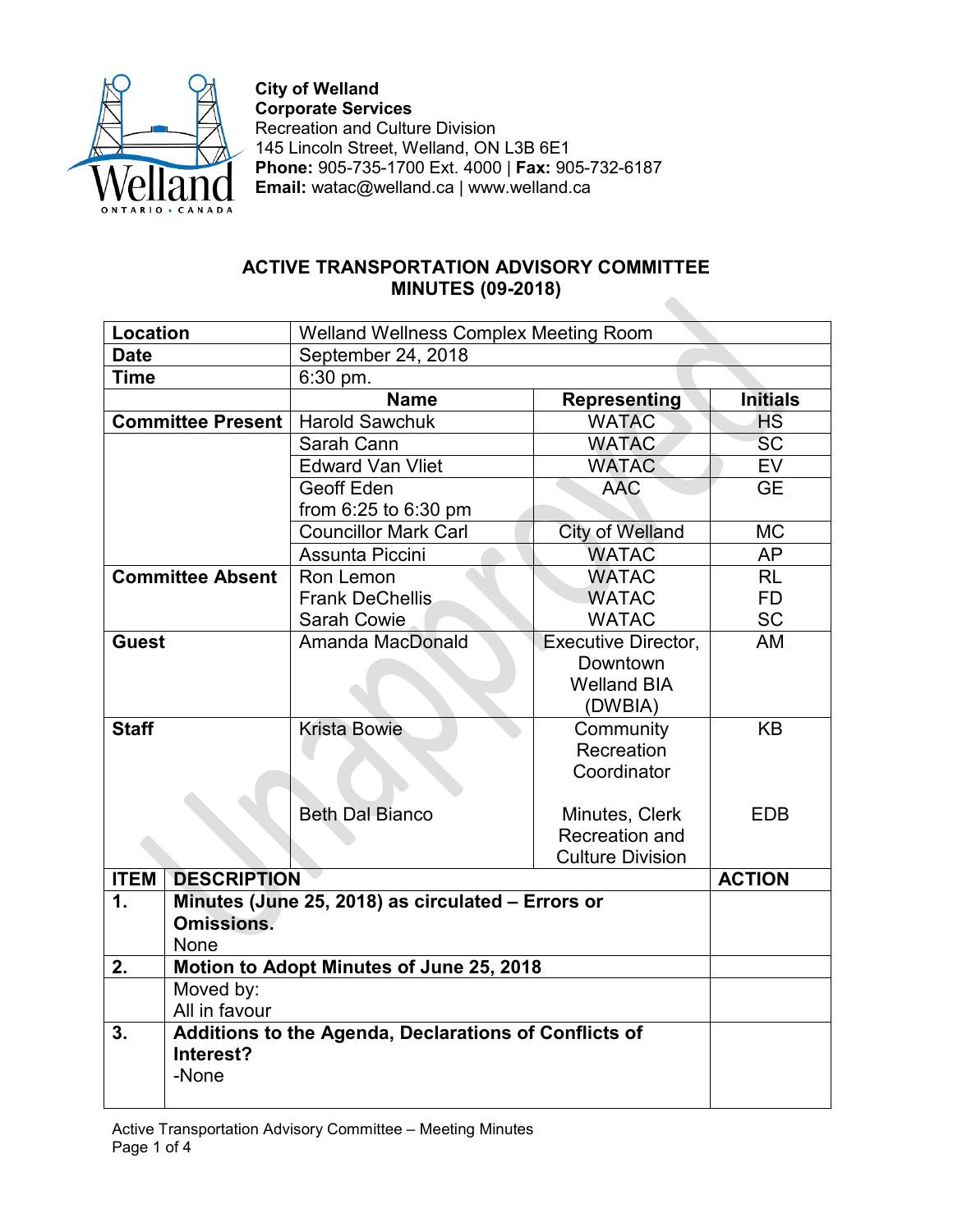

**City of Welland Corporate Services** Recreation and Culture Division 145 Lincoln Street, Welland, ON L3B 6E1 **Phone:** 905-735-1700 Ext. 4000 | **Fax:** 905-732-6187 **Email:** watac@welland.ca | www.welland.ca

## **ACTIVE TRANSPORTATION ADVISORY COMMITTEE MINUTES (09-2018)**   $\bullet$

| <b>Location</b> |                                                       | <b>Welland Wellness Complex Meeting Room</b>      |                                  |                 |  |
|-----------------|-------------------------------------------------------|---------------------------------------------------|----------------------------------|-----------------|--|
| <b>Date</b>     |                                                       | September 24, 2018                                |                                  |                 |  |
| <b>Time</b>     |                                                       | 6:30 pm.                                          |                                  |                 |  |
|                 |                                                       | <b>Name</b>                                       | <b>Representing</b>              | <b>Initials</b> |  |
|                 |                                                       | <b>Committee Present   Harold Sawchuk</b>         | <b>WATAC</b>                     | HS              |  |
|                 |                                                       | Sarah Cann                                        | <b>WATAC</b>                     | <b>SC</b>       |  |
|                 |                                                       | <b>Edward Van Vliet</b>                           | <b>WATAC</b>                     | <b>EV</b>       |  |
|                 |                                                       | Geoff Eden                                        | <b>AAC</b>                       | <b>GE</b>       |  |
|                 |                                                       | from 6:25 to 6:30 pm                              |                                  |                 |  |
|                 |                                                       | <b>Councillor Mark Carl</b>                       | <b>City of Welland</b>           | <b>MC</b>       |  |
|                 |                                                       | Assunta Piccini                                   | <b>WATAC</b>                     | <b>AP</b>       |  |
|                 | <b>Committee Absent</b>                               | Ron Lemon                                         | <b>WATAC</b>                     | <b>RL</b>       |  |
|                 |                                                       | <b>Frank DeChellis</b>                            | <b>WATAC</b>                     | <b>FD</b>       |  |
|                 |                                                       | Sarah Cowie                                       | <b>WATAC</b>                     | SC              |  |
| <b>Guest</b>    |                                                       | Amanda MacDonald                                  | <b>Executive Director,</b>       | AM              |  |
|                 |                                                       |                                                   | Downtown                         |                 |  |
|                 |                                                       |                                                   | <b>Welland BIA</b>               |                 |  |
|                 |                                                       |                                                   | (DWBIA)                          |                 |  |
| <b>Staff</b>    |                                                       | <b>Krista Bowie</b>                               | Community                        | <b>KB</b>       |  |
|                 |                                                       |                                                   | Recreation                       |                 |  |
|                 |                                                       |                                                   | Coordinator                      |                 |  |
|                 |                                                       | <b>Beth Dal Bianco</b>                            |                                  | <b>EDB</b>      |  |
|                 |                                                       |                                                   | Minutes, Clerk<br>Recreation and |                 |  |
|                 |                                                       |                                                   | <b>Culture Division</b>          |                 |  |
| <b>ITEM</b>     | <b>DESCRIPTION</b>                                    |                                                   |                                  | <b>ACTION</b>   |  |
| 1.              |                                                       | Minutes (June 25, 2018) as circulated - Errors or |                                  |                 |  |
|                 | <b>Omissions.</b>                                     |                                                   |                                  |                 |  |
|                 | None                                                  |                                                   |                                  |                 |  |
| 2.              | Motion to Adopt Minutes of June 25, 2018              |                                                   |                                  |                 |  |
|                 | Moved by:                                             |                                                   |                                  |                 |  |
|                 | All in favour                                         |                                                   |                                  |                 |  |
| 3.              | Additions to the Agenda, Declarations of Conflicts of |                                                   |                                  |                 |  |
|                 | Interest?                                             |                                                   |                                  |                 |  |
|                 | -None                                                 |                                                   |                                  |                 |  |
|                 |                                                       |                                                   |                                  |                 |  |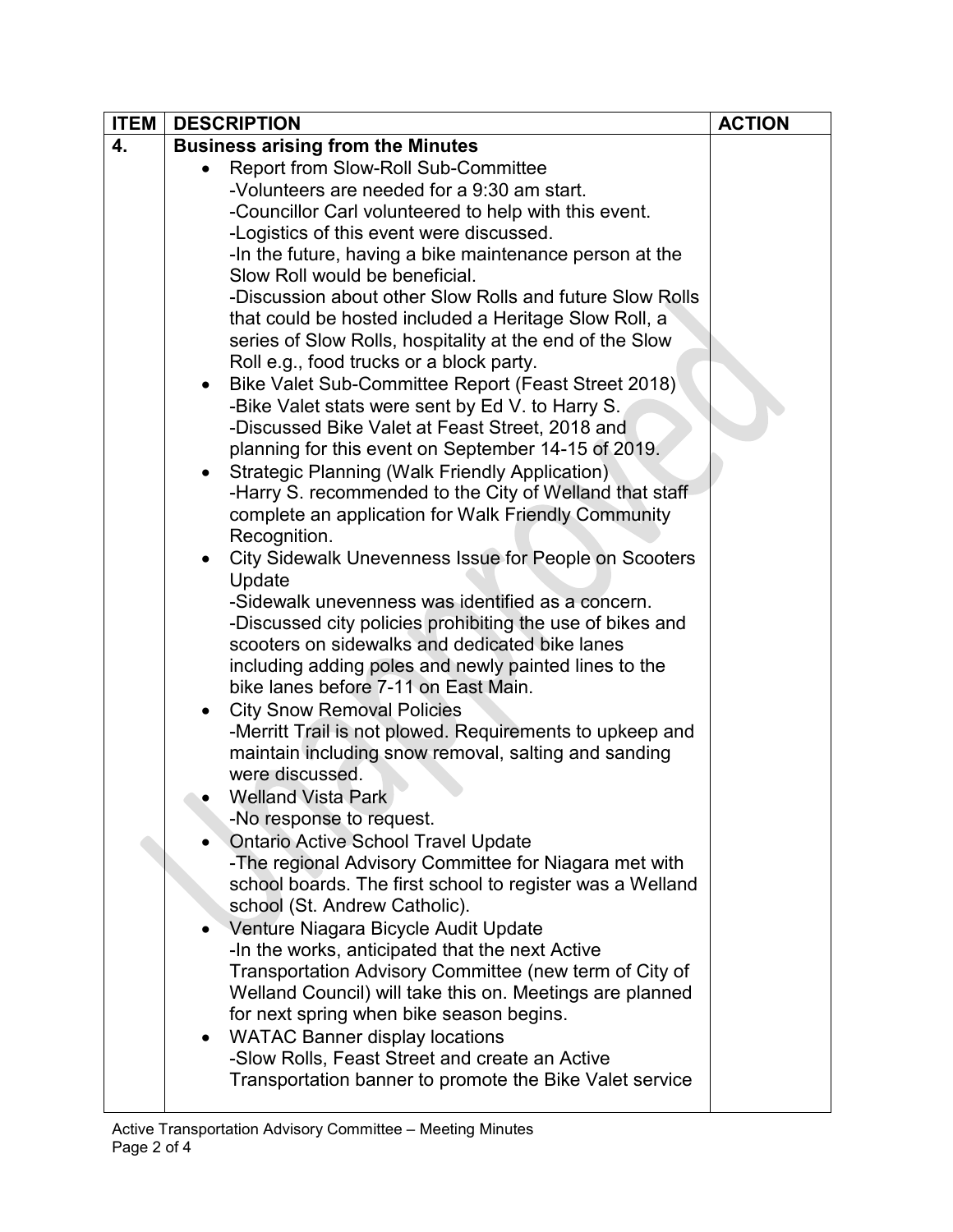| <b>ITEM</b> | <b>DESCRIPTION</b>                                                 | <b>ACTION</b> |
|-------------|--------------------------------------------------------------------|---------------|
| 4.          | <b>Business arising from the Minutes</b>                           |               |
|             | Report from Slow-Roll Sub-Committee                                |               |
|             | -Volunteers are needed for a 9:30 am start.                        |               |
|             | -Councillor Carl volunteered to help with this event.              |               |
|             | -Logistics of this event were discussed.                           |               |
|             | -In the future, having a bike maintenance person at the            |               |
|             | Slow Roll would be beneficial.                                     |               |
|             | -Discussion about other Slow Rolls and future Slow Rolls           |               |
|             | that could be hosted included a Heritage Slow Roll, a              |               |
|             | series of Slow Rolls, hospitality at the end of the Slow           |               |
|             | Roll e.g., food trucks or a block party.                           |               |
|             | Bike Valet Sub-Committee Report (Feast Street 2018)<br>$\bullet$   |               |
|             | -Bike Valet stats were sent by Ed V. to Harry S.                   |               |
|             | -Discussed Bike Valet at Feast Street, 2018 and                    |               |
|             | planning for this event on September 14-15 of 2019.                |               |
|             | <b>Strategic Planning (Walk Friendly Application)</b>              |               |
|             | -Harry S. recommended to the City of Welland that staff            |               |
|             | complete an application for Walk Friendly Community                |               |
|             | Recognition.                                                       |               |
|             | City Sidewalk Unevenness Issue for People on Scooters<br>$\bullet$ |               |
|             | Update                                                             |               |
|             | -Sidewalk unevenness was identified as a concern.                  |               |
|             | -Discussed city policies prohibiting the use of bikes and          |               |
|             | scooters on sidewalks and dedicated bike lanes                     |               |
|             | including adding poles and newly painted lines to the              |               |
|             | bike lanes before 7-11 on East Main.                               |               |
|             | <b>City Snow Removal Policies</b><br>$\bullet$                     |               |
|             | -Merritt Trail is not plowed. Requirements to upkeep and           |               |
|             | maintain including snow removal, salting and sanding               |               |
|             | were discussed.                                                    |               |
|             | <b>Welland Vista Park</b>                                          |               |
|             | -No response to request.                                           |               |
|             | <b>Ontario Active School Travel Update</b>                         |               |
|             | -The regional Advisory Committee for Niagara met with              |               |
|             | school boards. The first school to register was a Welland          |               |
|             | school (St. Andrew Catholic).                                      |               |
|             | Venture Niagara Bicycle Audit Update                               |               |
|             | -In the works, anticipated that the next Active                    |               |
|             | Transportation Advisory Committee (new term of City of             |               |
|             | Welland Council) will take this on. Meetings are planned           |               |
|             | for next spring when bike season begins.                           |               |
|             | <b>WATAC Banner display locations</b><br>$\bullet$                 |               |
|             | -Slow Rolls, Feast Street and create an Active                     |               |
|             | Transportation banner to promote the Bike Valet service            |               |
|             |                                                                    |               |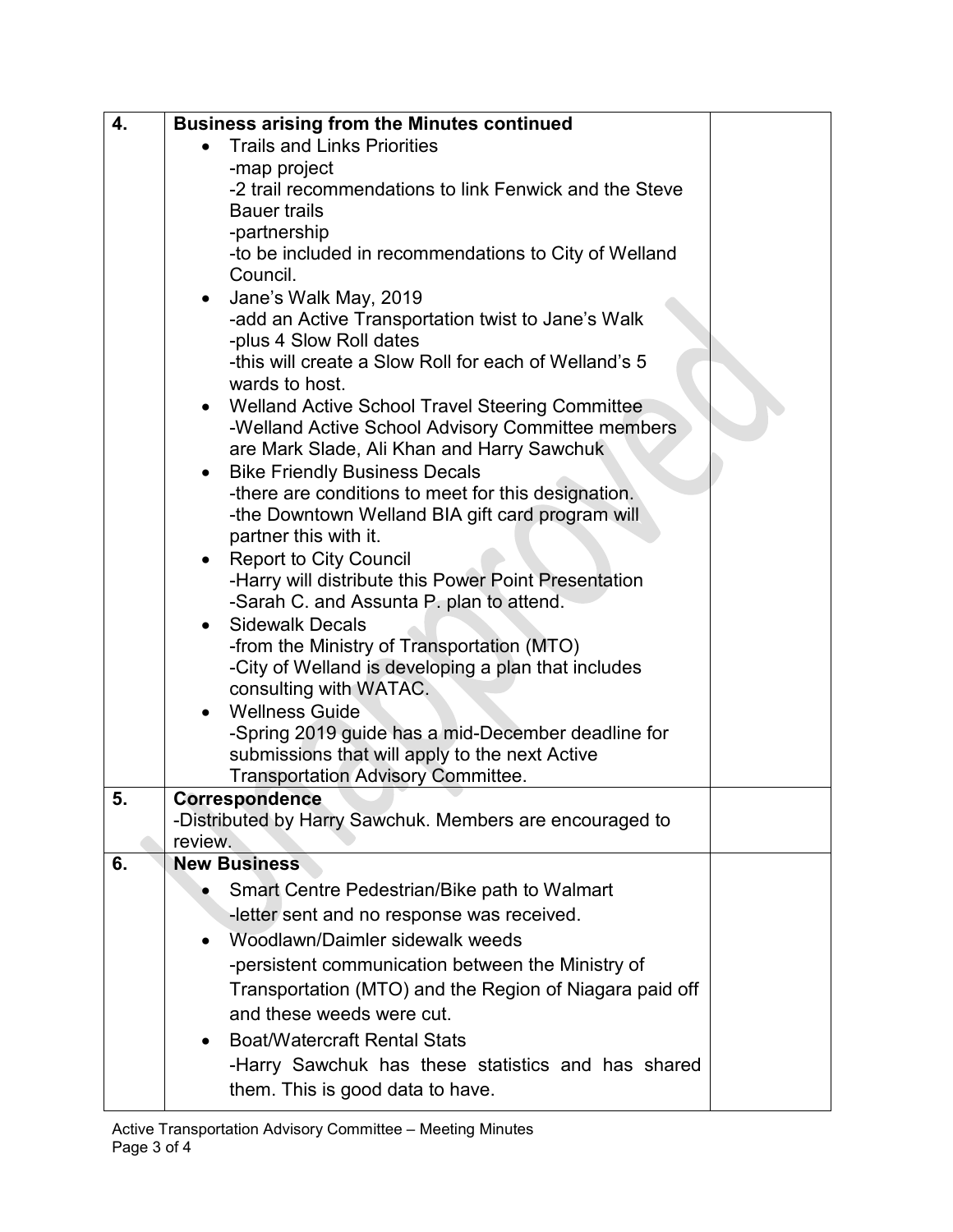| 4. | <b>Business arising from the Minutes continued</b>           |  |
|----|--------------------------------------------------------------|--|
|    | <b>Trails and Links Priorities</b>                           |  |
|    | -map project                                                 |  |
|    | -2 trail recommendations to link Fenwick and the Steve       |  |
|    | <b>Bauer trails</b>                                          |  |
|    | -partnership                                                 |  |
|    | -to be included in recommendations to City of Welland        |  |
|    | Council.                                                     |  |
|    | Jane's Walk May, 2019<br>$\bullet$                           |  |
|    | -add an Active Transportation twist to Jane's Walk           |  |
|    | -plus 4 Slow Roll dates                                      |  |
|    | -this will create a Slow Roll for each of Welland's 5        |  |
|    | wards to host.                                               |  |
|    | Welland Active School Travel Steering Committee<br>$\bullet$ |  |
|    | -Welland Active School Advisory Committee members            |  |
|    | are Mark Slade, Ali Khan and Harry Sawchuk                   |  |
|    | <b>Bike Friendly Business Decals</b><br>$\bullet$            |  |
|    | -there are conditions to meet for this designation.          |  |
|    | -the Downtown Welland BIA gift card program will             |  |
|    | partner this with it.                                        |  |
|    | • Report to City Council                                     |  |
|    | -Harry will distribute this Power Point Presentation         |  |
|    | -Sarah C. and Assunta P. plan to attend.                     |  |
|    | <b>Sidewalk Decals</b><br>$\bullet$                          |  |
|    | -from the Ministry of Transportation (MTO)                   |  |
|    | -City of Welland is developing a plan that includes          |  |
|    | consulting with WATAC.                                       |  |
|    | <b>Wellness Guide</b><br>$\bullet$                           |  |
|    | -Spring 2019 guide has a mid-December deadline for           |  |
|    | submissions that will apply to the next Active               |  |
|    | <b>Transportation Advisory Committee.</b>                    |  |
| 5. | Correspondence                                               |  |
|    | -Distributed by Harry Sawchuk. Members are encouraged to     |  |
|    | review.                                                      |  |
| 6. | <b>New Business</b>                                          |  |
|    | Smart Centre Pedestrian/Bike path to Walmart                 |  |
|    | -letter sent and no response was received.                   |  |
|    | Woodlawn/Daimler sidewalk weeds<br>$\bullet$                 |  |
|    | -persistent communication between the Ministry of            |  |
|    | Transportation (MTO) and the Region of Niagara paid off      |  |
|    | and these weeds were cut.                                    |  |
|    | <b>Boat/Watercraft Rental Stats</b><br>$\bullet$             |  |
|    | -Harry Sawchuk has these statistics and has shared           |  |
|    |                                                              |  |
|    | them. This is good data to have.                             |  |